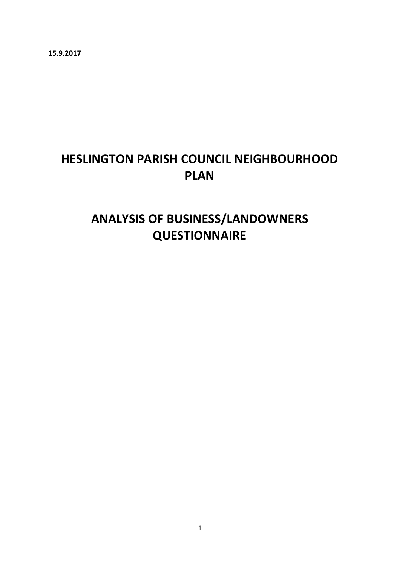**15.9.2017**

# **HESLINGTON PARISH COUNCIL NEIGHBOURHOOD PLAN**

# **ANALYSIS OF BUSINESS/LANDOWNERS QUESTIONNAIRE**

1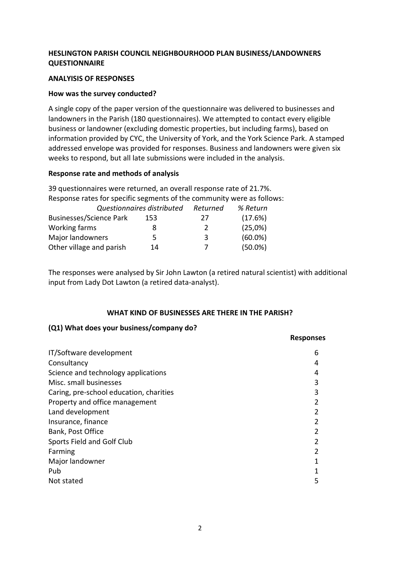# **HESLINGTON PARISH COUNCIL NEIGHBOURHOOD PLAN BUSINESS/LANDOWNERS QUESTIONNAIRE**

### **ANALYISIS OF RESPONSES**

### **How was the survey conducted?**

A single copy of the paper version of the questionnaire was delivered to businesses and landowners in the Parish (180 questionnaires). We attempted to contact every eligible business or landowner (excluding domestic properties, but including farms), based on information provided by CYC, the University of York, and the York Science Park. A stamped addressed envelope was provided for responses. Business and landowners were given six weeks to respond, but all late submissions were included in the analysis.

### **Response rate and methods of analysis**

39 questionnaires were returned, an overall response rate of 21.7%. Response rates for specific segments of the community were as follows: *Questionnaires distributed Returned % Return* Businesses/Science Park 153 27 (17.6%) Working farms 8 2 (25,0%) Major landowners 5 5 3 (60.0%)

Other village and parish 14 7 (50.0%)

The responses were analysed by Sir John Lawton (a retired natural scientist) with additional input from Lady Dot Lawton (a retired data-analyst).

# **WHAT KIND OF BUSINESSES ARE THERE IN THE PARISH?**

**Responses**

### **(Q1) What does your business/company do?**

| 6              |
|----------------|
| 4              |
| 4              |
| 3              |
| 3              |
|                |
| $\mathfrak{p}$ |
|                |
| 2              |
|                |
|                |
|                |
|                |
| 5              |
|                |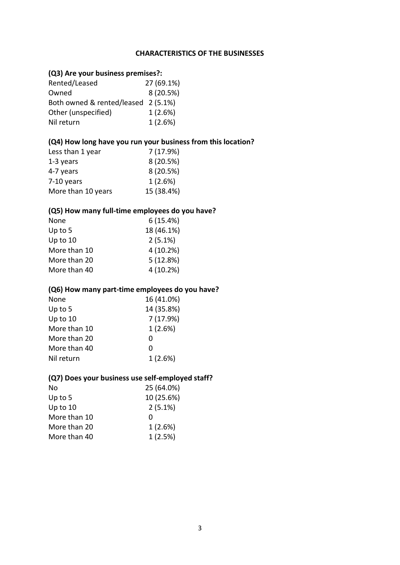### **CHARACTERISTICS OF THE BUSINESSES**

# **(Q3) Are your business premises?:**

| Rented/Leased                       | 27 (69.1%) |
|-------------------------------------|------------|
| Owned                               | 8 (20.5%)  |
| Both owned & rented/leased 2 (5.1%) |            |
| Other (unspecified)                 | 1(2.6%)    |
| Nil return                          | 1(2.6%)    |

# **(Q4) How long have you run your business from this location?**

| Less than 1 year   | 7 (17.9%)  |
|--------------------|------------|
| 1-3 years          | 8(20.5%)   |
| 4-7 years          | 8(20.5%)   |
| 7-10 years         | 1(2.6%)    |
| More than 10 years | 15 (38.4%) |

# **(Q5) How many full-time employees do you have?**

| None         | 6(15.4%)   |
|--------------|------------|
| Up to $5$    | 18 (46.1%) |
| Up to 10     | $2(5.1\%)$ |
| More than 10 | 4(10.2%)   |
| More than 20 | 5(12.8%)   |
| More than 40 | 4(10.2%)   |
|              |            |

### **(Q6) How many part-time employees do you have?**

| None         | 16 (41.0%) |
|--------------|------------|
| Up to $5$    | 14 (35.8%) |
| Up to $10$   | 7 (17.9%)  |
| More than 10 | 1(2.6%)    |
| More than 20 | O          |
| More than 40 | 0          |
| Nil return   | 1(2.6%)    |

### **(Q7) Does your business use self-employed staff?**

| No           | 25 (64.0%) |
|--------------|------------|
| Up to $5$    | 10 (25.6%) |
| Up to 10     | 2(5.1%)    |
| More than 10 | O          |
| More than 20 | 1(2.6%)    |
| More than 40 | 1(2.5%)    |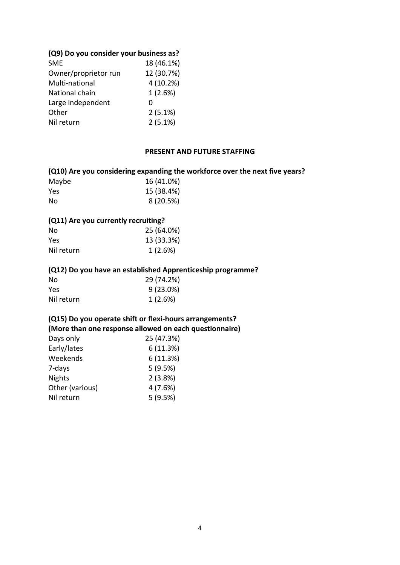### **(Q9) Do you consider your business as?**

| <b>SME</b>           | 18 (46.1%) |
|----------------------|------------|
| Owner/proprietor run | 12 (30.7%) |
| Multi-national       | 4 (10.2%)  |
| National chain       | 1(2.6%)    |
| Large independent    | O          |
| Other                | 2(5.1%)    |
| Nil return           | 2(5.1%)    |
|                      |            |

## **PRESENT AND FUTURE STAFFING**

### **(Q10) Are you considering expanding the workforce over the next five years?**

| Maybe | 16 (41.0%) |
|-------|------------|
| Yes   | 15 (38.4%) |
| No    | 8(20.5%)   |

### **(Q11) Are you currently recruiting?**

| No         | 25 (64.0%) |
|------------|------------|
| Yes        | 13 (33.3%) |
| Nil return | 1(2.6%)    |

#### **(Q12) Do you have an established Apprenticeship programme?**

| No         | 29 (74.2%)  |
|------------|-------------|
| Yes        | $9(23.0\%)$ |
| Nil return | 1(2.6%)     |

# **(Q15) Do you operate shift or flexi-hours arrangements?**

**(More than one response allowed on each questionnaire)**

| Days only       | 25 (47.3%) |
|-----------------|------------|
| Early/lates     | 6(11.3%)   |
| Weekends        | 6(11.3%)   |
| 7-days          | 5(9.5%)    |
| <b>Nights</b>   | 2(3.8%)    |
| Other (various) | 4(7.6%)    |
| Nil return      | 5(9.5%)    |
|                 |            |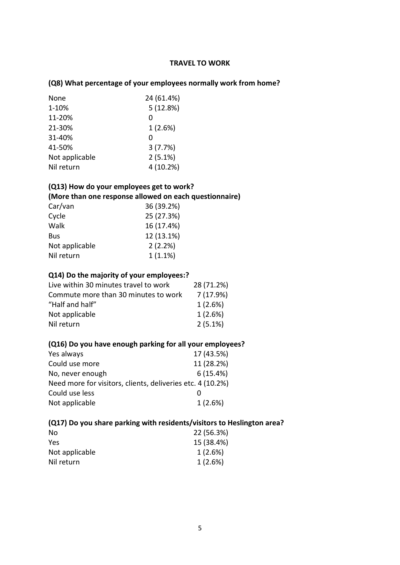# **TRAVEL TO WORK**

# **(Q8) What percentage of your employees normally work from home?**

| 24 (61.4%) |
|------------|
| 5(12.8%)   |
| ი          |
| 1(2.6%)    |
| O          |
| 3(7.7%)    |
| 2(5.1%)    |
| 4 (10.2%)  |
|            |

# **(Q13) How do your employees get to work?**

### **(More than one response allowed on each questionnaire)**

| Car/van        | 36 (39.2%) |
|----------------|------------|
| Cycle          | 25 (27.3%) |
| Walk           | 16 (17.4%) |
| Bus            | 12 (13.1%) |
| Not applicable | 2(2.2%)    |
| Nil return     | 1(1.1%)    |

### **Q14) Do the majority of your employees:?**

| Live within 30 minutes travel to work | 28 (71.2%) |
|---------------------------------------|------------|
| Commute more than 30 minutes to work  | 7(17.9%)   |
| "Half and half"                       | 1(2.6%)    |
| Not applicable                        | 1(2.6%)    |
| Nil return                            | $2(5.1\%)$ |
|                                       |            |

### **(Q16) Do you have enough parking for all your employees?**

| Yes always                                                 | 17 (43.5%) |
|------------------------------------------------------------|------------|
| Could use more                                             | 11 (28.2%) |
| No, never enough                                           | 6(15.4%)   |
| Need more for visitors, clients, deliveries etc. 4 (10.2%) |            |
| Could use less                                             |            |
| Not applicable                                             | 1(2.6%)    |

# **(Q17) Do you share parking with residents/visitors to Heslington area?**

| 22 (56.3%) |
|------------|
| 15 (38.4%) |
| $1(2.6\%)$ |
| 1(2.6%)    |
|            |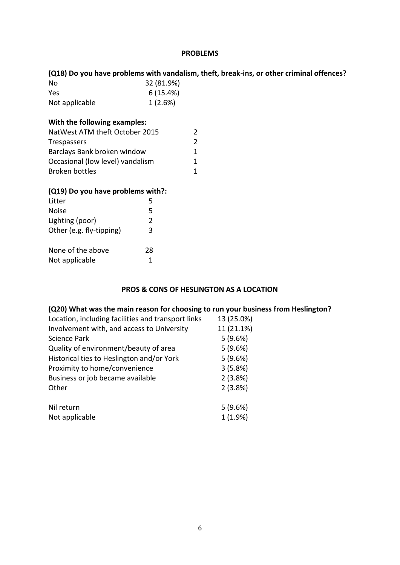### **PROBLEMS**

|                                   |            | (Q18) Do you have problems with vandalism, theft, break-ins, or other criminal offences? |
|-----------------------------------|------------|------------------------------------------------------------------------------------------|
| No                                | 32 (81.9%) |                                                                                          |
| Yes                               | 6(15.4%)   |                                                                                          |
| Not applicable                    | 1(2.6%)    |                                                                                          |
| With the following examples:      |            |                                                                                          |
| NatWest ATM theft October 2015    |            | 2                                                                                        |
| Trespassers                       |            | $\overline{2}$                                                                           |
| Barclays Bank broken window       |            | 1                                                                                        |
| Occasional (low level) vandalism  |            | 1                                                                                        |
| <b>Broken bottles</b>             |            | 1                                                                                        |
| (Q19) Do you have problems with?: |            |                                                                                          |
| Litter                            | 5          |                                                                                          |
| <b>Noise</b>                      | 5          |                                                                                          |
| Lighting (poor)                   | 2          |                                                                                          |
| Other (e.g. fly-tipping)          | 3          |                                                                                          |
| None of the above                 | 28         |                                                                                          |
| Not applicable                    | 1          |                                                                                          |

### **PROS & CONS OF HESLINGTON AS A LOCATION**

# **(Q20) What was the main reason for choosing to run your business from Heslington?**

| Location, including facilities and transport links | 13 (25.0%) |
|----------------------------------------------------|------------|
| Involvement with, and access to University         | 11 (21.1%) |
| <b>Science Park</b>                                | 5(9.6%)    |
| Quality of environment/beauty of area              | 5(9.6%)    |
| Historical ties to Heslington and/or York          | 5(9.6%)    |
| Proximity to home/convenience                      | 3(5.8%)    |
| Business or job became available                   | 2(3.8%)    |
| Other                                              | 2(3.8%)    |
|                                                    |            |
| Nil return                                         | 5(9.6%)    |
| Not applicable                                     | 1(1.9%)    |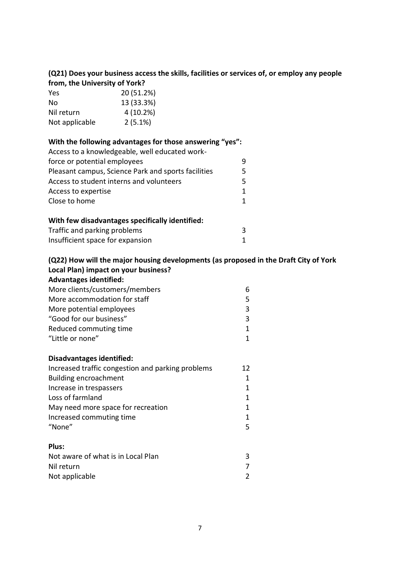# **(Q21) Does your business access the skills, facilities or services of, or employ any people from, the University of York?**

| Yes            | 20 (51.2%) |
|----------------|------------|
| No             | 13 (33.3%) |
| Nil return     | 4(10.2%)   |
| Not applicable | $2(5.1\%)$ |

| With the following advantages for those answering "yes": |   |
|----------------------------------------------------------|---|
| Access to a knowledgeable, well educated work-           |   |
| force or potential employees                             | q |
| Pleasant campus, Science Park and sports facilities      | 5 |
| Access to student interns and volunteers                 | 5 |
| Access to expertise                                      | 1 |
| Close to home                                            | 1 |

| With few disadvantages specifically identified: |  |
|-------------------------------------------------|--|
| Traffic and parking problems                    |  |
| Insufficient space for expansion                |  |

# **(Q22) How will the major housing developments (as proposed in the Draft City of York Local Plan) impact on your business?**

| <b>Advantages identified:</b>  |   |  |
|--------------------------------|---|--|
| More clients/customers/members | 6 |  |
| More accommodation for staff   | 5 |  |
| More potential employees       |   |  |
| "Good for our business"        |   |  |
| Reduced commuting time         |   |  |
| "Little or none"               |   |  |

# **Disadvantages identified:**

| Increased traffic congestion and parking problems | 12 |
|---------------------------------------------------|----|
| <b>Building encroachment</b>                      | 1  |
| Increase in trespassers                           | 1  |
| Loss of farmland                                  | 1  |
| May need more space for recreation                | 1  |
| Increased commuting time                          | 1  |
| "None"                                            | 5  |
|                                                   |    |
| Plus:                                             |    |

| Not aware of what is in Local Plan |  |
|------------------------------------|--|
| Nil return                         |  |
| Not applicable                     |  |
|                                    |  |